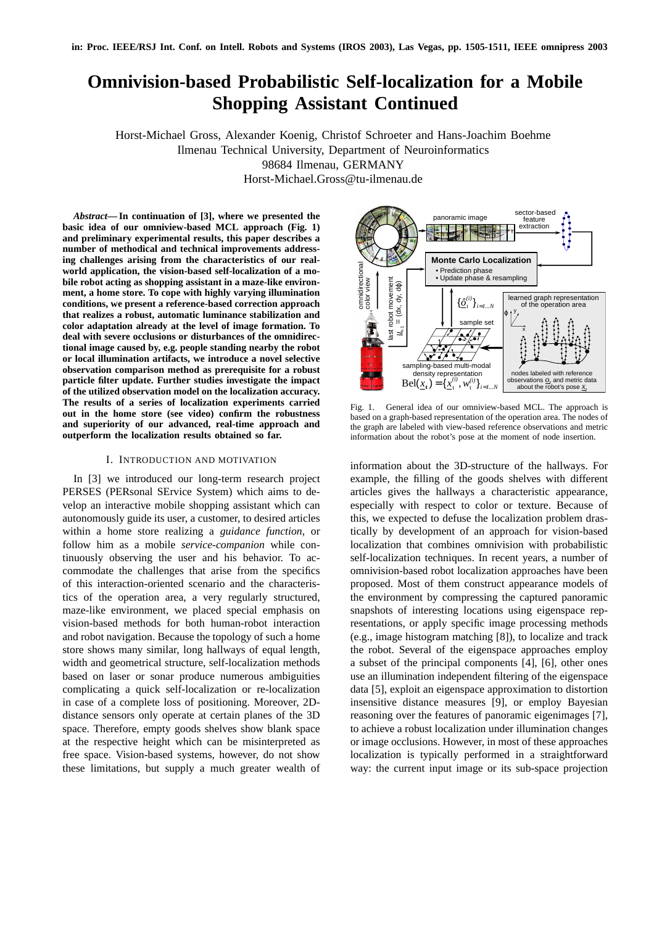# **Omnivision-based Probabilistic Self-localization for a Mobile Shopping Assistant Continued**

Horst-Michael Gross, Alexander Koenig, Christof Schroeter and Hans-Joachim Boehme Ilmenau Technical University, Department of Neuroinformatics 98684 Ilmenau, GERMANY Horst-Michael.Gross@tu-ilmenau.de

*Abstract***— In continuation of [3], where we presented the basic idea of our omniview-based MCL approach (Fig. 1) and preliminary experimental results, this paper describes a number of methodical and technical improvements addressing challenges arising from the characteristics of our realworld application, the vision-based self-localization of a mobile robot acting as shopping assistant in a maze-like environment, a home store. To cope with highly varying illumination conditions, we present a reference-based correction approach that realizes a robust, automatic luminance stabilization and color adaptation already at the level of image formation. To deal with severe occlusions or disturbances of the omnidirectional image caused by, e.g. people standing nearby the robot or local illumination artifacts, we introduce a novel selective observation comparison method as prerequisite for a robust particle filter update. Further studies investigate the impact of the utilized observation model on the localization accuracy. The results of a series of localization experiments carried out in the home store (see video) confirm the robustness and superiority of our advanced, real-time approach and outperform the localization results obtained so far.**

#### I. INTRODUCTION AND MOTIVATION

In [3] we introduced our long-term research project PERSES (PERsonal SErvice System) which aims to develop an interactive mobile shopping assistant which can autonomously guide its user, a customer, to desired articles within a home store realizing a *guidance function*, or follow him as a mobile *service-companion* while continuously observing the user and his behavior. To accommodate the challenges that arise from the specifics of this interaction-oriented scenario and the characteristics of the operation area, a very regularly structured, maze-like environment, we placed special emphasis on vision-based methods for both human-robot interaction and robot navigation. Because the topology of such a home store shows many similar, long hallways of equal length, width and geometrical structure, self-localization methods based on laser or sonar produce numerous ambiguities complicating a quick self-localization or re-localization in case of a complete loss of positioning. Moreover, 2Ddistance sensors only operate at certain planes of the 3D space. Therefore, empty goods shelves show blank space at the respective height which can be misinterpreted as free space. Vision-based systems, however, do not show these limitations, but supply a much greater wealth of



Fig. 1. General idea of our omniview-based MCL. The approach is based on a graph-based representation of the operation area. The nodes of the graph are labeled with view-based reference observations and metric information about the robot's pose at the moment of node insertion.

information about the 3D-structure of the hallways. For example, the filling of the goods shelves with different articles gives the hallways a characteristic appearance, especially with respect to color or texture. Because of this, we expected to defuse the localization problem drastically by development of an approach for vision-based localization that combines omnivision with probabilistic self-localization techniques. In recent years, a number of omnivision-based robot localization approaches have been proposed. Most of them construct appearance models of the environment by compressing the captured panoramic snapshots of interesting locations using eigenspace representations, or apply specific image processing methods (e.g., image histogram matching [8]), to localize and track the robot. Several of the eigenspace approaches employ a subset of the principal components [4], [6], other ones use an illumination independent filtering of the eigenspace data [5], exploit an eigenspace approximation to distortion insensitive distance measures [9], or employ Bayesian reasoning over the features of panoramic eigenimages [7], to achieve a robust localization under illumination changes or image occlusions. However, in most of these approaches localization is typically performed in a straightforward way: the current input image or its sub-space projection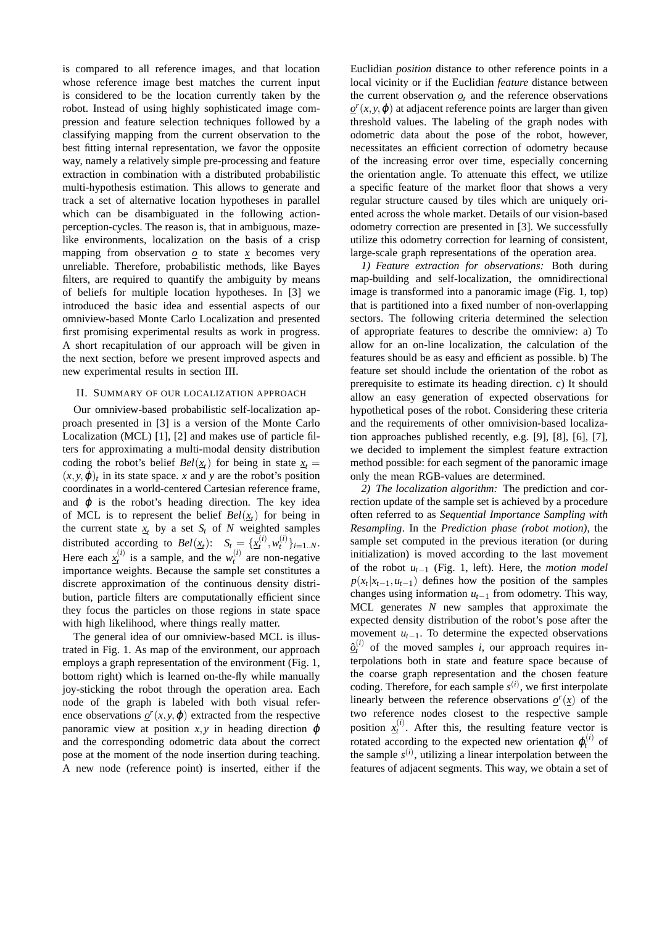is compared to all reference images, and that location whose reference image best matches the current input is considered to be the location currently taken by the robot. Instead of using highly sophisticated image compression and feature selection techniques followed by a classifying mapping from the current observation to the best fitting internal representation, we favor the opposite way, namely a relatively simple pre-processing and feature extraction in combination with a distributed probabilistic multi-hypothesis estimation. This allows to generate and track a set of alternative location hypotheses in parallel which can be disambiguated in the following actionperception-cycles. The reason is, that in ambiguous, mazelike environments, localization on the basis of a crisp mapping from observation  $\varrho$  to state  $\chi$  becomes very unreliable. Therefore, probabilistic methods, like Bayes filters, are required to quantify the ambiguity by means of beliefs for multiple location hypotheses. In [3] we introduced the basic idea and essential aspects of our omniview-based Monte Carlo Localization and presented first promising experimental results as work in progress. A short recapitulation of our approach will be given in the next section, before we present improved aspects and new experimental results in section III.

# II. SUMMARY OF OUR LOCALIZATION APPROACH

Our omniview-based probabilistic self-localization approach presented in [3] is a version of the Monte Carlo Localization (MCL) [1], [2] and makes use of particle filters for approximating a multi-modal density distribution coding the robot's belief  $Bel(\underline{x}_t)$  for being in state  $\underline{x}_t =$  $(x, y, \varphi)_t$  in its state space. *x* and *y* are the robot's position coordinates in a world-centered Cartesian reference frame, and  $\varphi$  is the robot's heading direction. The key idea of MCL is to represent the belief  $Bel(\underline{x}_t)$  for being in the current state  $x_t$  by a set  $S_t$  of  $N$  weighted samples distributed according to  $Bel(\underline{x}_t)$ :  $S_t = {\{\underline{x}_t^{(i)}, w_t^{(i)}\}_{i=1..N}}$ . Here each  $\underline{x}_t^{(i)}$  is a sample, and the  $w_t^{(i)}$  are non-negative importance weights. Because the sample set constitutes a discrete approximation of the continuous density distribution, particle filters are computationally efficient since they focus the particles on those regions in state space with high likelihood, where things really matter.

The general idea of our omniview-based MCL is illustrated in Fig. 1. As map of the environment, our approach employs a graph representation of the environment (Fig. 1, bottom right) which is learned on-the-fly while manually joy-sticking the robot through the operation area. Each node of the graph is labeled with both visual reference observations  $\varrho^{r}(x, y, \varphi)$  extracted from the respective panoramic view at position  $x, y$  in heading direction  $\varphi$ and the corresponding odometric data about the correct pose at the moment of the node insertion during teaching. A new node (reference point) is inserted, either if the Euclidian *position* distance to other reference points in a local vicinity or if the Euclidian *feature* distance between the current observation  $q_t$  and the reference observations  $\rho$ <sup>*r*</sup>(*x*, *y*,  $\phi$ ) at adjacent reference points are larger than given threshold values. The labeling of the graph nodes with odometric data about the pose of the robot, however, necessitates an efficient correction of odometry because of the increasing error over time, especially concerning the orientation angle. To attenuate this effect, we utilize a specific feature of the market floor that shows a very regular structure caused by tiles which are uniquely oriented across the whole market. Details of our vision-based odometry correction are presented in [3]. We successfully utilize this odometry correction for learning of consistent, large-scale graph representations of the operation area.

*1) Feature extraction for observations:* Both during map-building and self-localization, the omnidirectional image is transformed into a panoramic image (Fig. 1, top) that is partitioned into a fixed number of non-overlapping sectors. The following criteria determined the selection of appropriate features to describe the omniview: a) To allow for an on-line localization, the calculation of the features should be as easy and efficient as possible. b) The feature set should include the orientation of the robot as prerequisite to estimate its heading direction. c) It should allow an easy generation of expected observations for hypothetical poses of the robot. Considering these criteria and the requirements of other omnivision-based localization approaches published recently, e.g. [9], [8], [6], [7], we decided to implement the simplest feature extraction method possible: for each segment of the panoramic image only the mean RGB-values are determined.

*2) The localization algorithm:* The prediction and correction update of the sample set is achieved by a procedure often referred to as *Sequential Importance Sampling with Resampling*. In the *Prediction phase (robot motion)*, the sample set computed in the previous iteration (or during initialization) is moved according to the last movement of the robot *ut*−<sup>1</sup> (Fig. 1, left). Here, the *motion model*  $p(x_t|x_{t-1}, u_{t-1})$  defines how the position of the samples changes using information *ut*−<sup>1</sup> from odometry. This way, MCL generates *N* new samples that approximate the expected density distribution of the robot's pose after the movement  $u_{t-1}$ . To determine the expected observations  $\hat{\Omega}^{(i)}_t$  of the moved samples *i*, our approach requires interpolations both in state and feature space because of the coarse graph representation and the chosen feature coding. Therefore, for each sample  $s^{(i)}$ , we first interpolate linearly between the reference observations  $\rho^r(x)$  of the two reference nodes closest to the respective sample position  $x_t^{(i)}$ . After this, the resulting feature vector is rotated according to the expected new orientation  $\varphi_t^{(i)}$  of the sample  $s^{(i)}$ , utilizing a linear interpolation between the features of adjacent segments. This way, we obtain a set of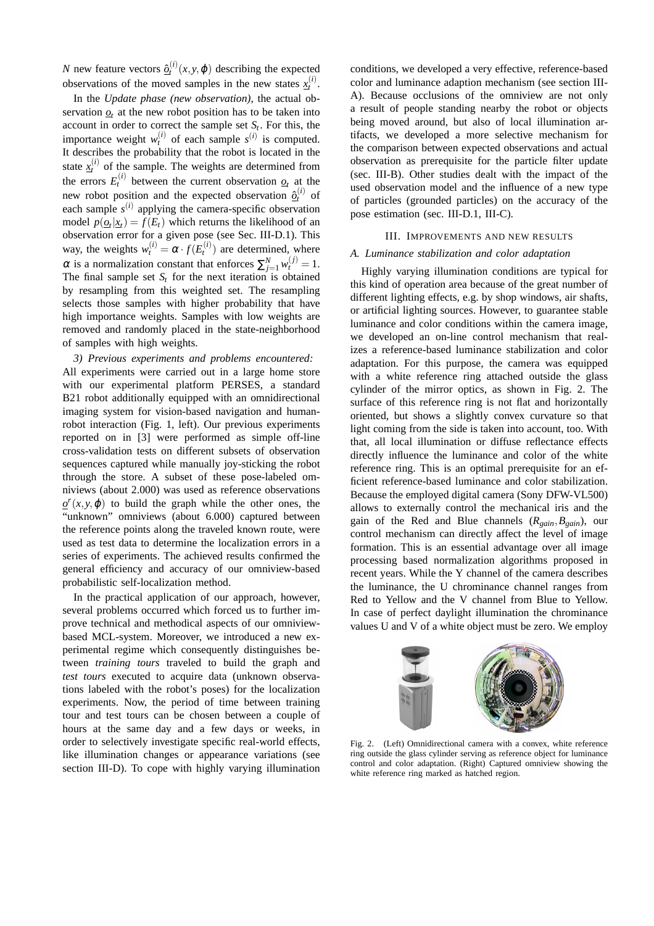*N* new feature vectors  $\hat{Q}_t^{(i)}(x, y, \varphi)$  describing the expected observations of the moved samples in the new states  $x_t^{(i)}$ .

In the *Update phase (new observation)*, the actual observation  $q_t$  at the new robot position has to be taken into account in order to correct the sample set  $S_t$ . For this, the importance weight  $w_t^{(i)}$  of each sample  $s^{(i)}$  is computed. It describes the probability that the robot is located in the state  $x_t^{(i)}$  of the sample. The weights are determined from the errors  $E_t^{(i)}$  between the current observation  $\mathcal{Q}_t$  at the new robot position and the expected observation  $\hat{Q}_t^{(i)}$  of each sample  $s^{(i)}$  applying the camera-specific observation model  $p(\mathbf{Q}_t|\mathbf{X}_t) = f(E_t)$  which returns the likelihood of an observation error for a given pose (see Sec. III-D.1). This way, the weights  $w_t^{(i)} = \alpha \cdot f(E_t^{(i)})$  are determined, where  $\alpha$  is a normalization constant that enforces  $\sum_{j=1}^{N} w_t^{(j)} = 1$ . The final sample set  $S_t$  for the next iteration is obtained by resampling from this weighted set. The resampling selects those samples with higher probability that have high importance weights. Samples with low weights are removed and randomly placed in the state-neighborhood of samples with high weights.

*3) Previous experiments and problems encountered:* All experiments were carried out in a large home store with our experimental platform PERSES, a standard B21 robot additionally equipped with an omnidirectional imaging system for vision-based navigation and humanrobot interaction (Fig. 1, left). Our previous experiments reported on in [3] were performed as simple off-line cross-validation tests on different subsets of observation sequences captured while manually joy-sticking the robot through the store. A subset of these pose-labeled omniviews (about 2.000) was used as reference observations  $\rho$ <sup>r</sup> $(x, y, \phi)$  to build the graph while the other ones, the "unknown" omniviews (about 6.000) captured between the reference points along the traveled known route, were used as test data to determine the localization errors in a series of experiments. The achieved results confirmed the general efficiency and accuracy of our omniview-based probabilistic self-localization method.

In the practical application of our approach, however, several problems occurred which forced us to further improve technical and methodical aspects of our omniviewbased MCL-system. Moreover, we introduced a new experimental regime which consequently distinguishes between *training tours* traveled to build the graph and *test tours* executed to acquire data (unknown observations labeled with the robot's poses) for the localization experiments. Now, the period of time between training tour and test tours can be chosen between a couple of hours at the same day and a few days or weeks, in order to selectively investigate specific real-world effects, like illumination changes or appearance variations (see section III-D). To cope with highly varying illumination conditions, we developed a very effective, reference-based color and luminance adaption mechanism (see section III-A). Because occlusions of the omniview are not only a result of people standing nearby the robot or objects being moved around, but also of local illumination artifacts, we developed a more selective mechanism for the comparison between expected observations and actual observation as prerequisite for the particle filter update (sec. III-B). Other studies dealt with the impact of the used observation model and the influence of a new type of particles (grounded particles) on the accuracy of the pose estimation (sec. III-D.1, III-C).

## III. IMPROVEMENTS AND NEW RESULTS

# *A. Luminance stabilization and color adaptation*

Highly varying illumination conditions are typical for this kind of operation area because of the great number of different lighting effects, e.g. by shop windows, air shafts, or artificial lighting sources. However, to guarantee stable luminance and color conditions within the camera image, we developed an on-line control mechanism that realizes a reference-based luminance stabilization and color adaptation. For this purpose, the camera was equipped with a white reference ring attached outside the glass cylinder of the mirror optics, as shown in Fig. 2. The surface of this reference ring is not flat and horizontally oriented, but shows a slightly convex curvature so that light coming from the side is taken into account, too. With that, all local illumination or diffuse reflectance effects directly influence the luminance and color of the white reference ring. This is an optimal prerequisite for an efficient reference-based luminance and color stabilization. Because the employed digital camera (Sony DFW-VL500) allows to externally control the mechanical iris and the gain of the Red and Blue channels (*Rgain*,*Bgain*), our control mechanism can directly affect the level of image formation. This is an essential advantage over all image processing based normalization algorithms proposed in recent years. While the Y channel of the camera describes the luminance, the U chrominance channel ranges from Red to Yellow and the V channel from Blue to Yellow. In case of perfect daylight illumination the chrominance values U and V of a white object must be zero. We employ



Fig. 2. (Left) Omnidirectional camera with a convex, white reference ring outside the glass cylinder serving as reference object for luminance control and color adaptation. (Right) Captured omniview showing the white reference ring marked as hatched region.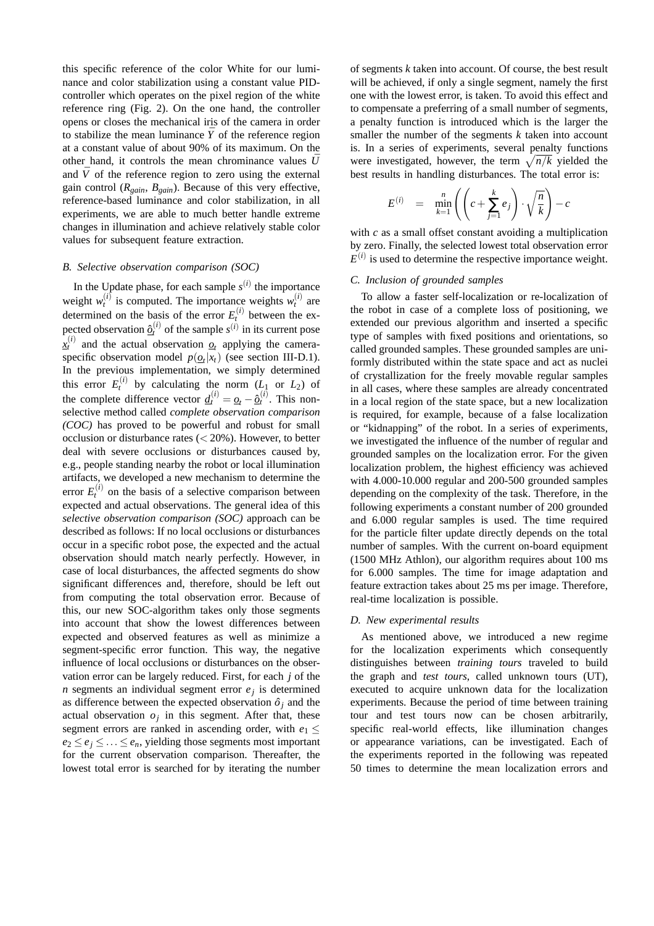this specific reference of the color White for our luminance and color stabilization using a constant value PIDcontroller which operates on the pixel region of the white reference ring (Fig. 2). On the one hand, the controller opens or closes the mechanical iris of the camera in order to stabilize the mean luminance  $\bar{Y}$  of the reference region at a constant value of about 90% of its maximum. On the other hand, it controls the mean chrominance values  $\bar{U}$ and  $\bar{V}$  of the reference region to zero using the external gain control ( $R_{gain}$ ,  $B_{gain}$ ). Because of this very effective, reference-based luminance and color stabilization, in all experiments, we are able to much better handle extreme changes in illumination and achieve relatively stable color values for subsequent feature extraction.

# *B. Selective observation comparison (SOC)*

In the Update phase, for each sample  $s^{(i)}$  the importance weight  $w_t^{(i)}$  is computed. The importance weights  $w_t^{(i)}$  are determined on the basis of the error  $E_t^{(i)}$  between the expected observation  $\hat{Q}_t^{(i)}$  of the sample  $s^{(i)}$  in its current pose  $\bar{x}^{(i)}_t$  and the actual observation  $\bar{q}_t$  applying the cameraspecific observation model  $p(\mathbf{Q}_t|\mathbf{x}_t)$  (see section III-D.1). In the previous implementation, we simply determined this error  $E_t^{(i)}$  by calculating the norm  $(L_1 \text{ or } L_2)$  of the complete difference vector  $\underline{d}_t^{(i)} = \underline{o}_t - \hat{\underline{o}}_t^{(i)}$ . This nonselective method called *complete observation comparison (COC)* has proved to be powerful and robust for small occlusion or disturbance rates  $(< 20\%)$ . However, to better deal with severe occlusions or disturbances caused by, e.g., people standing nearby the robot or local illumination artifacts, we developed a new mechanism to determine the error  $E_t^{(i)}$  on the basis of a selective comparison between expected and actual observations. The general idea of this *selective observation comparison (SOC)* approach can be described as follows: If no local occlusions or disturbances occur in a specific robot pose, the expected and the actual observation should match nearly perfectly. However, in case of local disturbances, the affected segments do show significant differences and, therefore, should be left out from computing the total observation error. Because of this, our new SOC-algorithm takes only those segments into account that show the lowest differences between expected and observed features as well as minimize a segment-specific error function. This way, the negative influence of local occlusions or disturbances on the observation error can be largely reduced. First, for each *j* of the *n* segments an individual segment error  $e_j$  is determined as difference between the expected observation  $\hat{o}_i$  and the actual observation  $o_j$  in this segment. After that, these segment errors are ranked in ascending order, with  $e_1 \leq$  $e_2 \leq e_i \leq \ldots \leq e_n$ , yielding those segments most important for the current observation comparison. Thereafter, the lowest total error is searched for by iterating the number of segments *k* taken into account. Of course, the best result will be achieved, if only a single segment, namely the first one with the lowest error, is taken. To avoid this effect and to compensate a preferring of a small number of segments, a penalty function is introduced which is the larger the smaller the number of the segments *k* taken into account is. In a series of experiments, several penalty functions is. In a series of experiments, several penalty functions<br>were investigated, however, the term  $\sqrt{n/k}$  yielded the best results in handling disturbances. The total error is:

$$
E^{(i)} = \min_{k=1}^{n} \left( \left( c + \sum_{j=1}^{k} e_j \right) \cdot \sqrt{\frac{n}{k}} \right) - c
$$

with *c* as a small offset constant avoiding a multiplication by zero. Finally, the selected lowest total observation error  $E^{(i)}$  is used to determine the respective importance weight.

### *C. Inclusion of grounded samples*

To allow a faster self-localization or re-localization of the robot in case of a complete loss of positioning, we extended our previous algorithm and inserted a specific type of samples with fixed positions and orientations, so called grounded samples. These grounded samples are uniformly distributed within the state space and act as nuclei of crystallization for the freely movable regular samples in all cases, where these samples are already concentrated in a local region of the state space, but a new localization is required, for example, because of a false localization or "kidnapping" of the robot. In a series of experiments, we investigated the influence of the number of regular and grounded samples on the localization error. For the given localization problem, the highest efficiency was achieved with 4.000-10.000 regular and 200-500 grounded samples depending on the complexity of the task. Therefore, in the following experiments a constant number of 200 grounded and 6.000 regular samples is used. The time required for the particle filter update directly depends on the total number of samples. With the current on-board equipment (1500 MHz Athlon), our algorithm requires about 100 ms for 6.000 samples. The time for image adaptation and feature extraction takes about 25 ms per image. Therefore, real-time localization is possible.

# *D. New experimental results*

As mentioned above, we introduced a new regime for the localization experiments which consequently distinguishes between *training tours* traveled to build the graph and *test tours*, called unknown tours (UT), executed to acquire unknown data for the localization experiments. Because the period of time between training tour and test tours now can be chosen arbitrarily, specific real-world effects, like illumination changes or appearance variations, can be investigated. Each of the experiments reported in the following was repeated 50 times to determine the mean localization errors and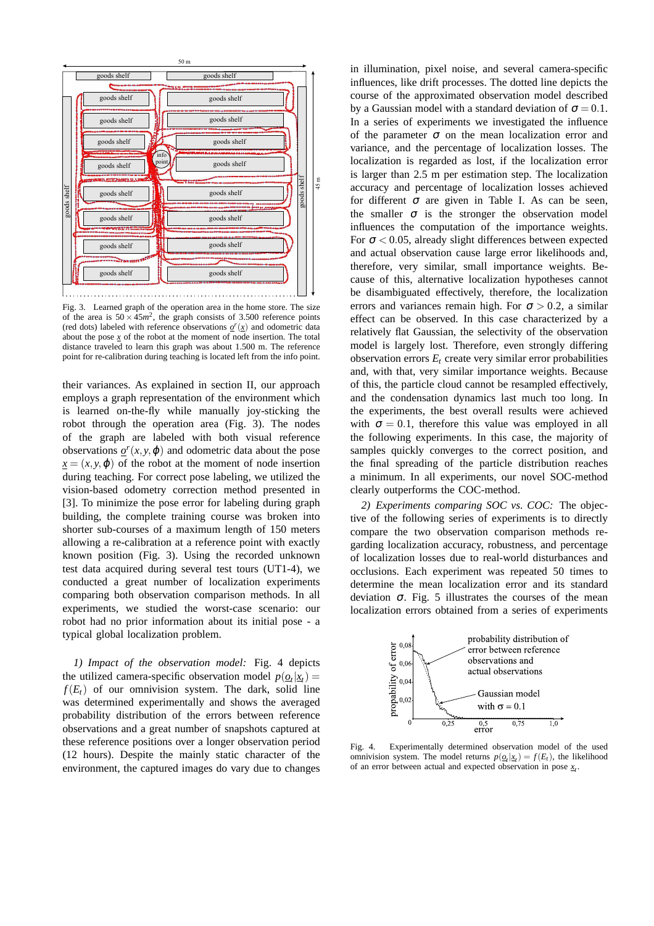

Fig. 3. Learned graph of the operation area in the home store. The size of the area is  $50 \times 45m^2$ , the graph consists of 3.500 reference points (red dots) labeled with reference observations  $\rho^r(\underline{x})$  and odometric data about the pose *x* of the robot at the moment of node insertion. The total distance traveled to learn this graph was about 1.500 m. The reference point for re-calibration during teaching is located left from the info point.

their variances. As explained in section II, our approach employs a graph representation of the environment which is learned on-the-fly while manually joy-sticking the robot through the operation area (Fig. 3). The nodes of the graph are labeled with both visual reference observations  $\varrho^{r}(x, y, \varphi)$  and odometric data about the pose  $x = (x, y, \varphi)$  of the robot at the moment of node insertion during teaching. For correct pose labeling, we utilized the vision-based odometry correction method presented in [3]. To minimize the pose error for labeling during graph building, the complete training course was broken into shorter sub-courses of a maximum length of 150 meters allowing a re-calibration at a reference point with exactly known position (Fig. 3). Using the recorded unknown test data acquired during several test tours (UT1-4), we conducted a great number of localization experiments comparing both observation comparison methods. In all experiments, we studied the worst-case scenario: our robot had no prior information about its initial pose - a typical global localization problem.

*1) Impact of the observation model:* Fig. 4 depicts the utilized camera-specific observation model  $p(\mathbf{Q}_t|\mathbf{x}_t)$  =  $f(E_t)$  of our omnivision system. The dark, solid line was determined experimentally and shows the averaged probability distribution of the errors between reference observations and a great number of snapshots captured at these reference positions over a longer observation period (12 hours). Despite the mainly static character of the environment, the captured images do vary due to changes

in illumination, pixel noise, and several camera-specific influences, like drift processes. The dotted line depicts the course of the approximated observation model described by a Gaussian model with a standard deviation of  $\sigma = 0.1$ . In a series of experiments we investigated the influence of the parameter  $\sigma$  on the mean localization error and variance, and the percentage of localization losses. The localization is regarded as lost, if the localization error is larger than 2.5 m per estimation step. The localization accuracy and percentage of localization losses achieved for different  $\sigma$  are given in Table I. As can be seen, the smaller  $\sigma$  is the stronger the observation model influences the computation of the importance weights. For  $\sigma$  < 0.05, already slight differences between expected and actual observation cause large error likelihoods and, therefore, very similar, small importance weights. Because of this, alternative localization hypotheses cannot be disambiguated effectively, therefore, the localization errors and variances remain high. For  $\sigma > 0.2$ , a similar effect can be observed. In this case characterized by a relatively flat Gaussian, the selectivity of the observation model is largely lost. Therefore, even strongly differing observation errors  $E_t$  create very similar error probabilities and, with that, very similar importance weights. Because of this, the particle cloud cannot be resampled effectively, and the condensation dynamics last much too long. In the experiments, the best overall results were achieved with  $\sigma = 0.1$ , therefore this value was employed in all the following experiments. In this case, the majority of samples quickly converges to the correct position, and the final spreading of the particle distribution reaches a minimum. In all experiments, our novel SOC-method clearly outperforms the COC-method.

*2) Experiments comparing SOC vs. COC:* The objective of the following series of experiments is to directly compare the two observation comparison methods regarding localization accuracy, robustness, and percentage of localization losses due to real-world disturbances and occlusions. Each experiment was repeated 50 times to determine the mean localization error and its standard deviation <sup>σ</sup>. Fig. 5 illustrates the courses of the mean localization errors obtained from a series of experiments



Fig. 4. Experimentally determined observation model of the used omnivision system. The model returns  $p(\underline{o}_t|\underline{x}_t) = f(E_t)$ , the likelihood of an error between actual and expected observation in pose *x<sup>t</sup>* .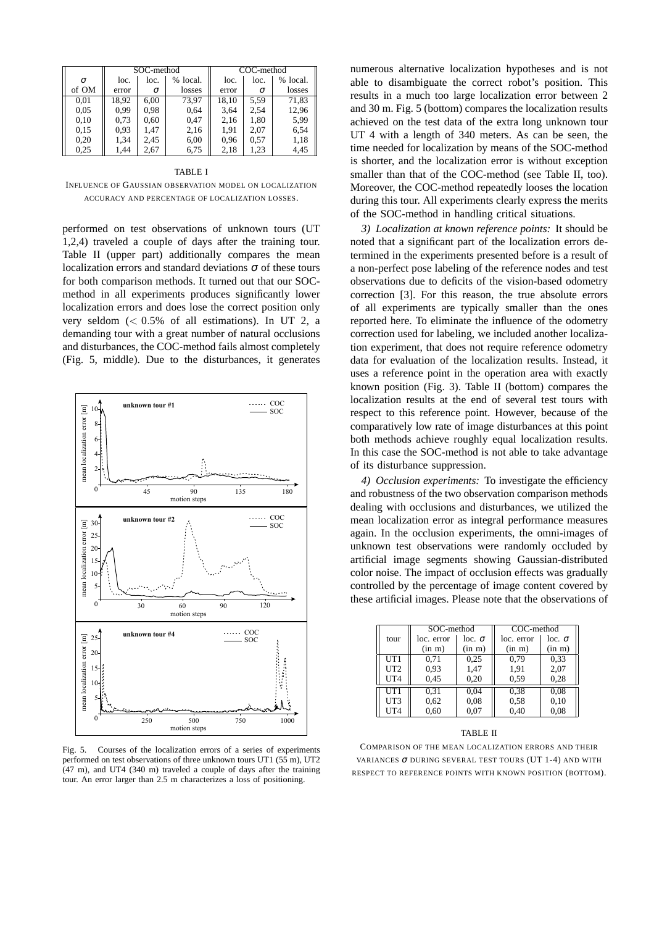|       | SOC-method |      |          | COC-method |      |          |
|-------|------------|------|----------|------------|------|----------|
| σ     | loc.       | loc. | % local. | loc.       | loc. | % local. |
| of OM | error      | σ    | losses   | error      | σ    | losses   |
| 0,01  | 18.92      | 6.00 | 73.97    | 18,10      | 5.59 | 71,83    |
| 0.05  | 0.99       | 0.98 | 0.64     | 3,64       | 2,54 | 12,96    |
| 0,10  | 0.73       | 0.60 | 0,47     | 2,16       | 1,80 | 5.99     |
| 0.15  | 0.93       | 1.47 | 2,16     | 1,91       | 2.07 | 6.54     |
| 0,20  | 1,34       | 2,45 | 6,00     | 0.96       | 0.57 | 1,18     |
| 0.25  | 1,44       | 2.67 | 6.75     | 2,18       | 1,23 | 4,45     |

#### TABLE I

INFLUENCE OF GAUSSIAN OBSERVATION MODEL ON LOCALIZATION ACCURACY AND PERCENTAGE OF LOCALIZATION LOSSES.

performed on test observations of unknown tours (UT 1,2,4) traveled a couple of days after the training tour. Table II (upper part) additionally compares the mean localization errors and standard deviations  $\sigma$  of these tours for both comparison methods. It turned out that our SOCmethod in all experiments produces significantly lower localization errors and does lose the correct position only very seldom  $( $0.5\%$  of all estimations). In UT 2, a$ demanding tour with a great number of natural occlusions and disturbances, the COC-method fails almost completely (Fig. 5, middle). Due to the disturbances, it generates



Fig. 5. Courses of the localization errors of a series of experiments performed on test observations of three unknown tours UT1 (55 m), UT2 (47 m), and UT4 (340 m) traveled a couple of days after the training tour. An error larger than 2.5 m characterizes a loss of positioning.

numerous alternative localization hypotheses and is not able to disambiguate the correct robot's position. This results in a much too large localization error between 2 and 30 m. Fig. 5 (bottom) compares the localization results achieved on the test data of the extra long unknown tour UT 4 with a length of 340 meters. As can be seen, the time needed for localization by means of the SOC-method is shorter, and the localization error is without exception smaller than that of the COC-method (see Table II, too). Moreover, the COC-method repeatedly looses the location during this tour. All experiments clearly express the merits of the SOC-method in handling critical situations.

*3) Localization at known reference points:* It should be noted that a significant part of the localization errors determined in the experiments presented before is a result of a non-perfect pose labeling of the reference nodes and test observations due to deficits of the vision-based odometry correction [3]. For this reason, the true absolute errors of all experiments are typically smaller than the ones reported here. To eliminate the influence of the odometry correction used for labeling, we included another localization experiment, that does not require reference odometry data for evaluation of the localization results. Instead, it uses a reference point in the operation area with exactly known position (Fig. 3). Table II (bottom) compares the localization results at the end of several test tours with respect to this reference point. However, because of the comparatively low rate of image disturbances at this point both methods achieve roughly equal localization results. In this case the SOC-method is not able to take advantage of its disturbance suppression.

*4) Occlusion experiments:* To investigate the efficiency and robustness of the two observation comparison methods dealing with occlusions and disturbances, we utilized the mean localization error as integral performance measures again. In the occlusion experiments, the omni-images of unknown test observations were randomly occluded by artificial image segments showing Gaussian-distributed color noise. The impact of occlusion effects was gradually controlled by the percentage of image content covered by these artificial images. Please note that the observations of

|                 | SOC-method |               | COC-method |               |  |
|-----------------|------------|---------------|------------|---------------|--|
| tour            | loc. error | $loc. \sigma$ | loc. error | $loc. \sigma$ |  |
|                 | (in m)     | (in m)        | (in m)     | (in m)        |  |
| UT1             | 0.71       | 0.25          | 0.79       | 0.33          |  |
| UT2             | 0.93       | 1,47          | 1,91       | 2,07          |  |
| UT <sub>4</sub> | 0,45       | 0,20          | 0.59       | 0.28          |  |
| UT1             | 0.31       | 0.04          | 0.38       | 0.08          |  |
| UT3             | 0.62       | 0,08          | 0.58       | 0,10          |  |
| UT <sub>4</sub> | 0.60       | 0,07          | 0,40       | 0.08          |  |
|                 |            |               |            |               |  |

#### TABLE II

COMPARISON OF THE MEAN LOCALIZATION ERRORS AND THEIR VARIANCES <sup>σ</sup> DURING SEVERAL TEST TOURS (UT 1-4) AND WITH RESPECT TO REFERENCE POINTS WITH KNOWN POSITION (BOTTOM).